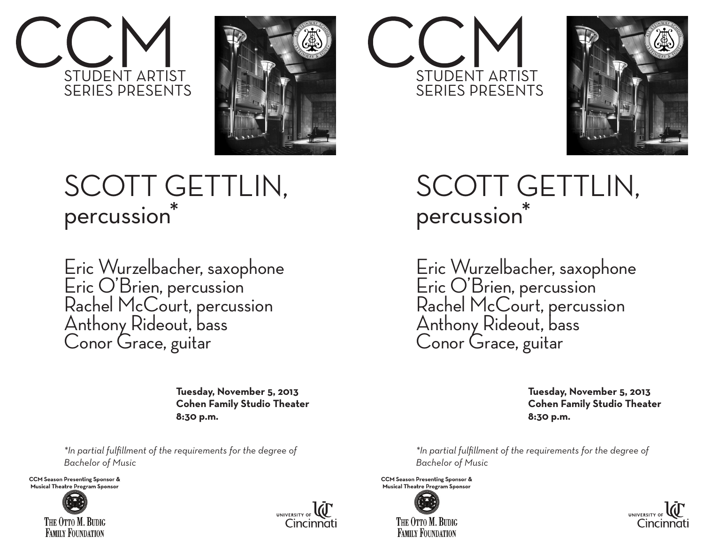



## SCOTT GETTLIN, percussion<sup>\*</sup>

Eric Wurzelbacher, saxophone Eric O'Brien, percussion Rachel McCourt, percussion Anthony Rideout, bass Conor Grace, guitar

> **Tuesday, November 5, 2013 Cohen Family Studio Theater 8:30 p.m.**

*\*In partial fulfillment of the requirements for the degree of Bachelor of Music* 

**CCM Season Presenting Sponsor &** Musical Theatre Program Sponsor